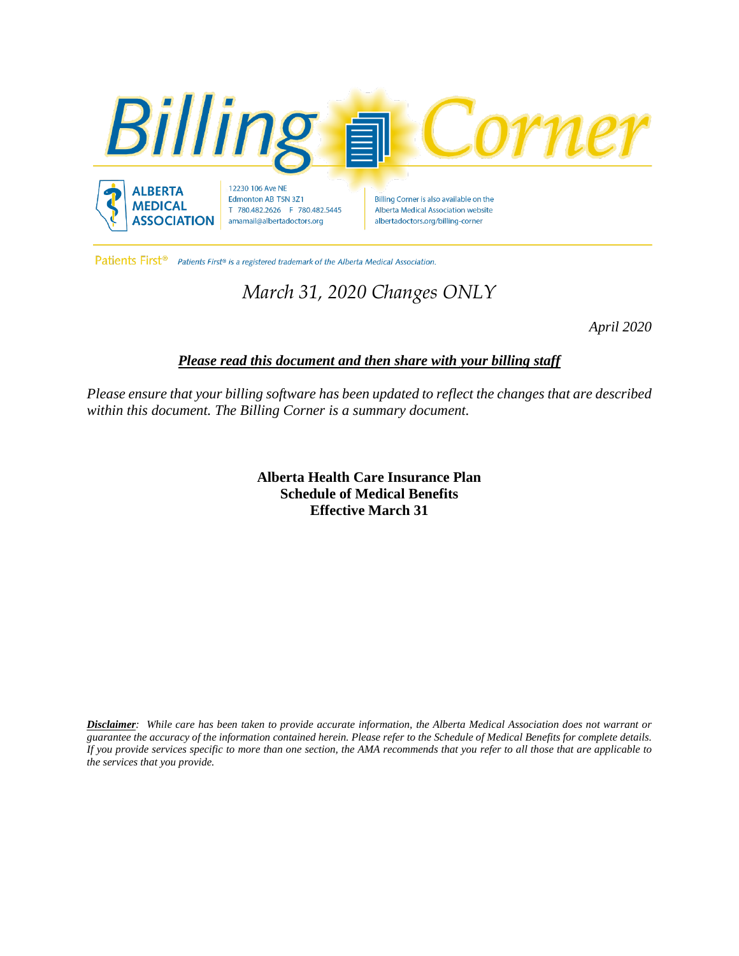

Patients First<sup>®</sup> Patients First® is a registered trademark of the Alberta Medical Association.

# *March 31, 2020 Changes ONLY*

*April 2020*

## *Please read this document and then share with your billing staff*

*Please ensure that your billing software has been updated to reflect the changes that are described within this document. The Billing Corner is a summary document.*

> **Alberta Health Care Insurance Plan Schedule of Medical Benefits Effective March 31**

Disclaimer: While care has been taken to provide accurate information, the Alberta Medical Association does not warrant or guarantee the accuracy of the information contained herein. Please refer to the Schedule of Medical Benefits for complete details. If you provide services specific to more than one section, the AMA recommends that you refer to all those that are applicable to *the services that you provide.*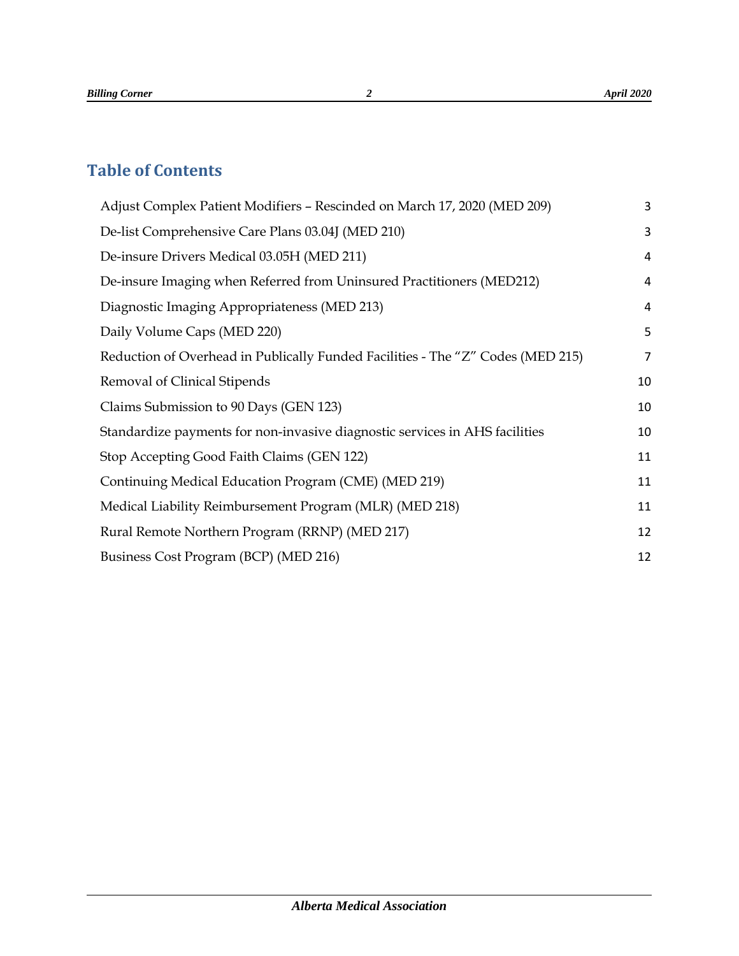## **Table of Contents**

| Adjust Complex Patient Modifiers - Rescinded on March 17, 2020 (MED 209)        | 3              |
|---------------------------------------------------------------------------------|----------------|
| De-list Comprehensive Care Plans 03.04J (MED 210)                               | 3              |
| De-insure Drivers Medical 03.05H (MED 211)                                      | 4              |
| De-insure Imaging when Referred from Uninsured Practitioners (MED212)           | 4              |
| Diagnostic Imaging Appropriateness (MED 213)                                    | $\overline{a}$ |
| Daily Volume Caps (MED 220)                                                     | 5              |
| Reduction of Overhead in Publically Funded Facilities - The "Z" Codes (MED 215) | $\overline{7}$ |
| Removal of Clinical Stipends                                                    | 10             |
| Claims Submission to 90 Days (GEN 123)                                          | 10             |
| Standardize payments for non-invasive diagnostic services in AHS facilities     | 10             |
| Stop Accepting Good Faith Claims (GEN 122)                                      | 11             |
| Continuing Medical Education Program (CME) (MED 219)                            | 11             |
| Medical Liability Reimbursement Program (MLR) (MED 218)                         | 11             |
| Rural Remote Northern Program (RRNP) (MED 217)                                  | 12             |
| Business Cost Program (BCP) (MED 216)                                           | 12             |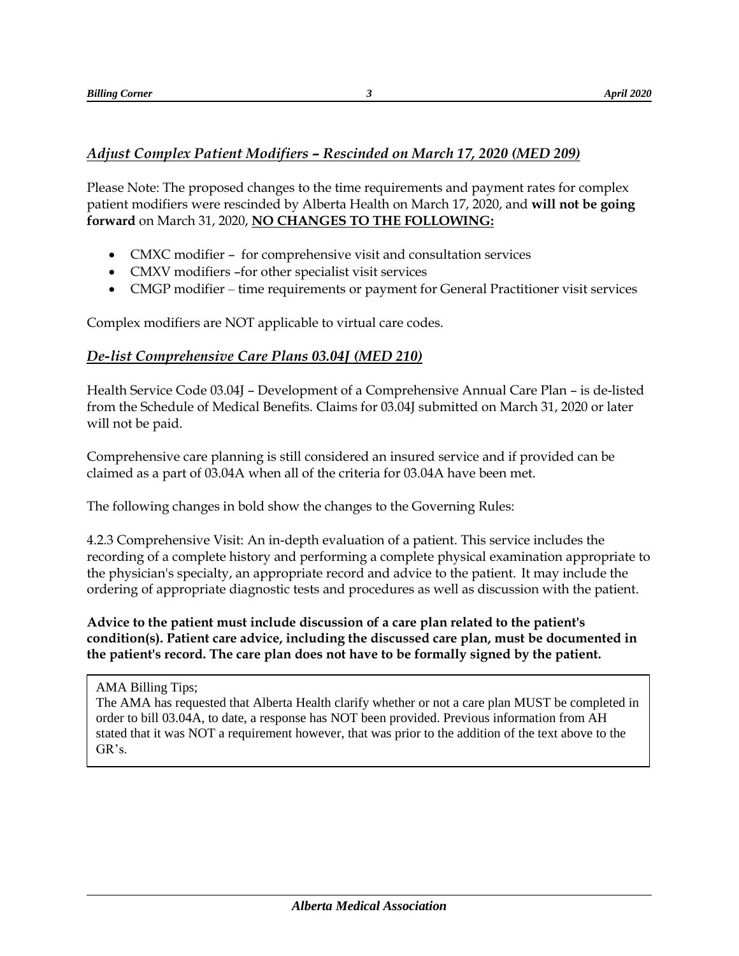## <span id="page-2-0"></span>*Adjust Complex Patient Modifiers – Rescinded on March 17, 2020 (MED 209)*

Please Note: The proposed changes to the time requirements and payment rates for complex patient modifiers were rescinded by Alberta Health on March 17, 2020, and **will not be going forward** on March 31, 2020, **NO CHANGES TO THE FOLLOWING:**

- CMXC modifier for comprehensive visit and consultation services
- CMXV modifiers –for other specialist visit services
- CMGP modifier time requirements or payment for General Practitioner visit services

Complex modifiers are NOT applicable to virtual care codes.

## <span id="page-2-1"></span>*De-list Comprehensive Care Plans 03.04J (MED 210)*

Health Service Code 03.04J – Development of a Comprehensive Annual Care Plan – is de-listed from the Schedule of Medical Benefits. Claims for 03.04J submitted on March 31, 2020 or later will not be paid.

Comprehensive care planning is still considered an insured service and if provided can be claimed as a part of 03.04A when all of the criteria for 03.04A have been met.

The following changes in bold show the changes to the Governing Rules:

4.2.3 Comprehensive Visit: An in-depth evaluation of a patient. This service includes the recording of a complete history and performing a complete physical examination appropriate to the physician's specialty, an appropriate record and advice to the patient. It may include the ordering of appropriate diagnostic tests and procedures as well as discussion with the patient.

**Advice to the patient must include discussion of a care plan related to the patient's condition(s). Patient care advice, including the discussed care plan, must be documented in the patient's record. The care plan does not have to be formally signed by the patient.**

AMA Billing Tips;

The AMA has requested that Alberta Health clarify whether or not a care plan MUST be completed in order to bill 03.04A, to date, a response has NOT been provided. Previous information from AH stated that it was NOT a requirement however, that was prior to the addition of the text above to the GR's.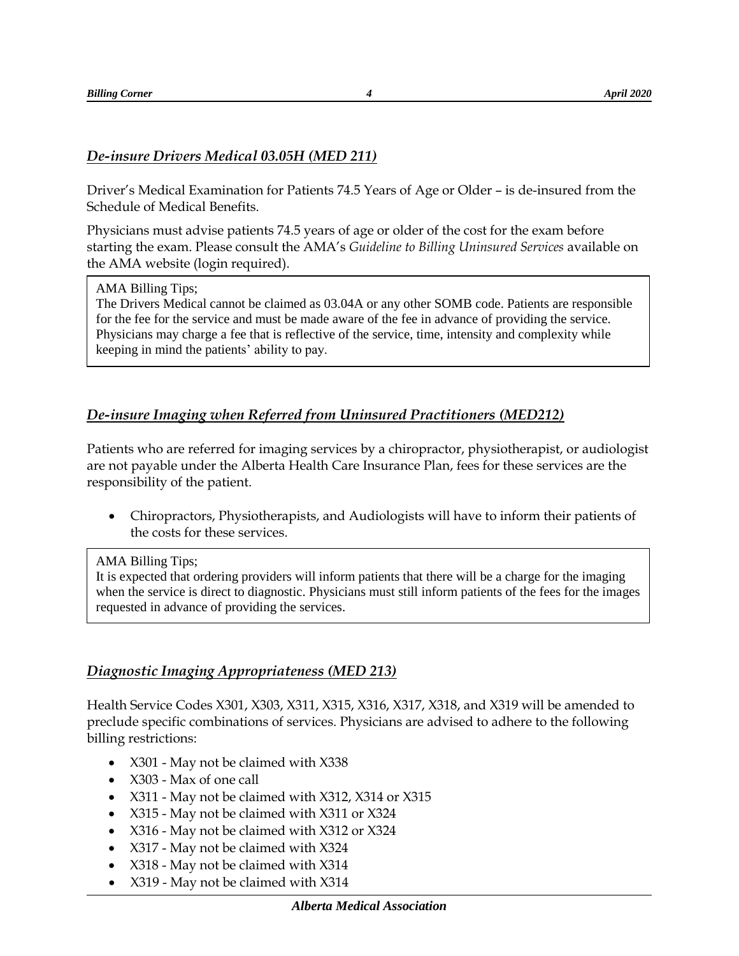#### <span id="page-3-0"></span>*De-insure Drivers Medical 03.05H (MED 211)*

Driver's Medical Examination for Patients 74.5 Years of Age or Older – is de-insured from the Schedule of Medical Benefits.

Physicians must advise patients 74.5 years of age or older of the cost for the exam before starting the exam. Please consult the AMA's *Guideline to Billing Uninsured Services* available on the AMA website (login required).

#### AMA Billing Tips;

The Drivers Medical cannot be claimed as 03.04A or any other SOMB code. Patients are responsible for the fee for the service and must be made aware of the fee in advance of providing the service. Physicians may charge a fee that is reflective of the service, time, intensity and complexity while keeping in mind the patients' ability to pay.

## <span id="page-3-1"></span>*De-insure Imaging when Referred from Uninsured Practitioners (MED212)*

Patients who are referred for imaging services by a chiropractor, physiotherapist, or audiologist are not payable under the Alberta Health Care Insurance Plan, fees for these services are the responsibility of the patient.

 Chiropractors, Physiotherapists, and Audiologists will have to inform their patients of the costs for these services.

#### AMA Billing Tips;

It is expected that ordering providers will inform patients that there will be a charge for the imaging when the service is direct to diagnostic. Physicians must still inform patients of the fees for the images requested in advance of providing the services.

#### <span id="page-3-2"></span>*Diagnostic Imaging Appropriateness (MED 213)*

Health Service Codes X301, X303, X311, X315, X316, X317, X318, and X319 will be amended to preclude specific combinations of services. Physicians are advised to adhere to the following billing restrictions:

- X301 May not be claimed with X338
- X303 Max of one call
- X311 May not be claimed with X312, X314 or X315
- X315 May not be claimed with X311 or X324
- X316 May not be claimed with X312 or X324
- X317 May not be claimed with X324
- X318 May not be claimed with X314
- X319 May not be claimed with X314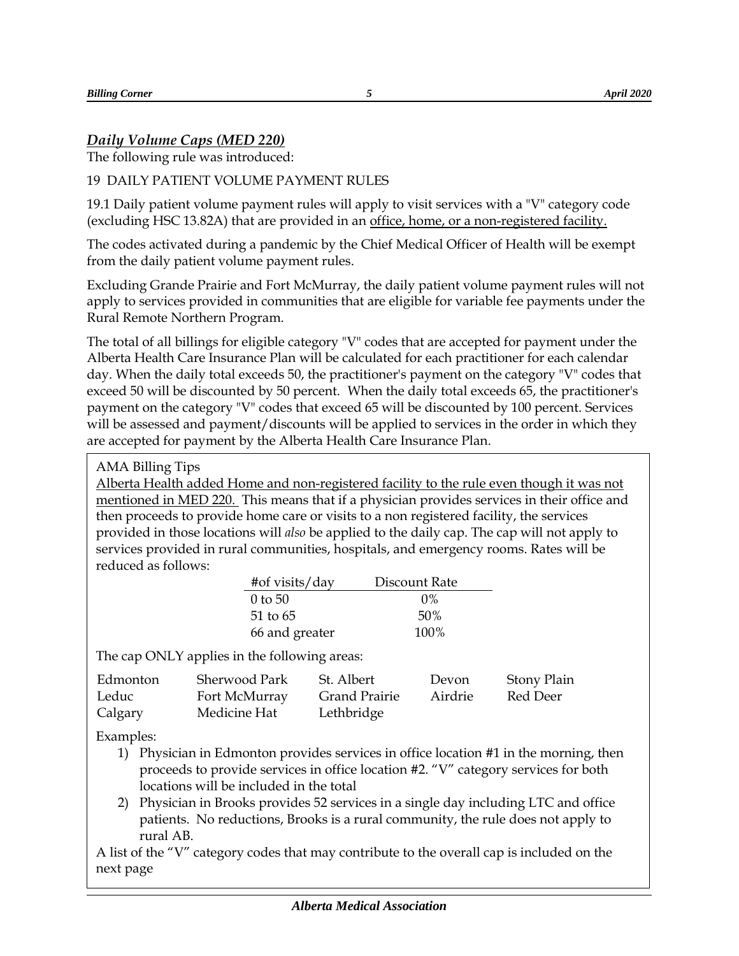## <span id="page-4-0"></span>*Daily Volume Caps (MED 220)*

The following rule was introduced:

## 19 DAILY PATIENT VOLUME PAYMENT RULES

19.1 Daily patient volume payment rules will apply to visit services with a "V" category code (excluding HSC 13.82A) that are provided in an office, home, or a non-registered facility.

The codes activated during a pandemic by the Chief Medical Officer of Health will be exempt from the daily patient volume payment rules.

Excluding Grande Prairie and Fort McMurray, the daily patient volume payment rules will not apply to services provided in communities that are eligible for variable fee payments under the Rural Remote Northern Program.

The total of all billings for eligible category "V" codes that are accepted for payment under the Alberta Health Care Insurance Plan will be calculated for each practitioner for each calendar day. When the daily total exceeds 50, the practitioner's payment on the category "V" codes that exceed 50 will be discounted by 50 percent. When the daily total exceeds 65, the practitioner's payment on the category "V" codes that exceed 65 will be discounted by 100 percent. Services will be assessed and payment/discounts will be applied to services in the order in which they are accepted for payment by the Alberta Health Care Insurance Plan.

#### AMA Billing Tips

Alberta Health added Home and non-registered facility to the rule even though it was not mentioned in MED 220. This means that if a physician provides services in their office and then proceeds to provide home care or visits to a non registered facility, the services provided in those locations will *also* be applied to the daily cap. The cap will not apply to services provided in rural communities, hospitals, and emergency rooms. Rates will be reduced as follows:

| #of visits/day | Discount Rate |
|----------------|---------------|
| $0$ to 50      | $0\%$         |
| 51 to 65       | .50%          |
| 66 and greater | 100%          |

The cap ONLY applies in the following areas:

| Edmonton | Sherwood Park | - St. Albert         | Devon   | Stony Plain |
|----------|---------------|----------------------|---------|-------------|
| Leduc    | Fort McMurray | <b>Grand Prairie</b> | Airdrie | Red Deer    |
| Calgary  | Medicine Hat  | Lethbridge           |         |             |

Examples:

- 1) Physician in Edmonton provides services in office location #1 in the morning, then proceeds to provide services in office location #2. "V" category services for both locations will be included in the total
- 2) Physician in Brooks provides 52 services in a single day including LTC and office patients. No reductions, Brooks is a rural community, the rule does not apply to rural AB.

A list of the "V" category codes that may contribute to the overall cap is included on the next page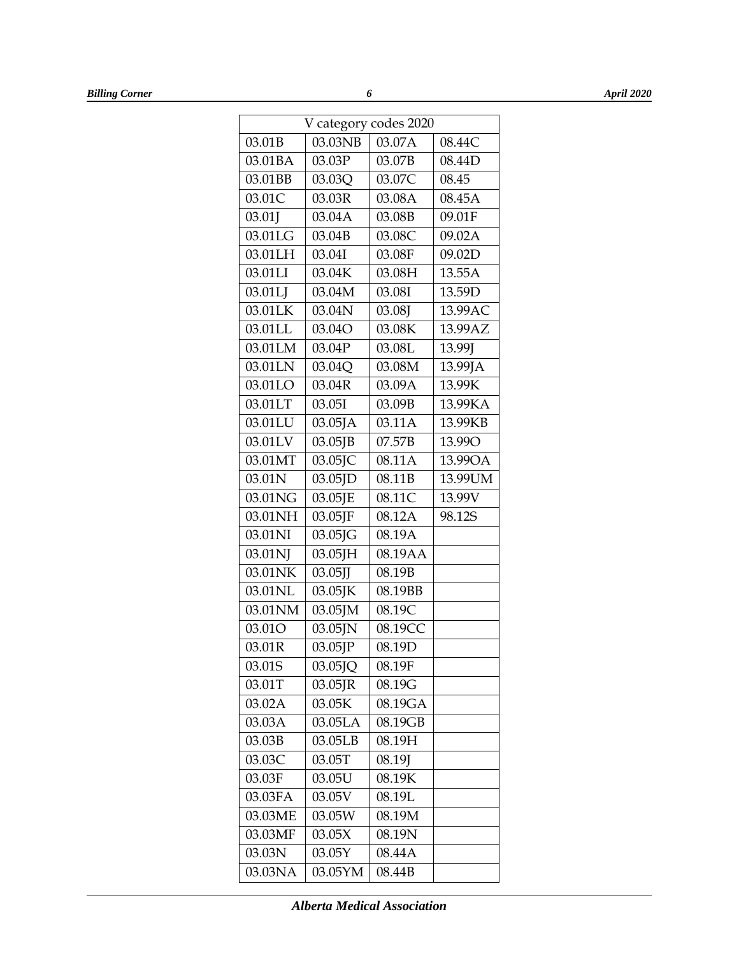| V category codes 2020 |            |         |         |
|-----------------------|------------|---------|---------|
| 03.01B                | 03.03NB    | 03.07A  | 08.44C  |
| 03.01BA               | 03.03P     | 03.07B  | 08.44D  |
| 03.01BB               | 03.03Q     | 03.07C  | 08.45   |
| 03.01C                | 03.03R     | 03.08A  | 08.45A  |
| 03.01J                | 03.04A     | 03.08B  | 09.01F  |
| 03.01LG               | 03.04B     | 03.08C  | 09.02A  |
| 03.01LH               | 03.04I     | 03.08F  | 09.02D  |
| 03.01LI               | 03.04K     | 03.08H  | 13.55A  |
| 03.01LJ               | 03.04M     | 03.08I  | 13.59D  |
| 03.01LK               | 03.04N     | 03.08J  | 13.99AC |
| 03.01LL               | 03.04O     | 03.08K  | 13.99AZ |
| 03.01LM               | 03.04P     | 03.08L  | 13.99J  |
| 03.01LN               | 03.04Q     | 03.08M  | 13.99JA |
| 03.01LO               | 03.04R     | 03.09A  | 13.99K  |
| 03.01LT               | 03.05I     | 03.09B  | 13.99KA |
| 03.01LU               | 03.05JA    | 03.11A  | 13.99KB |
| 03.01LV               | 03.05JB    | 07.57B  | 13.99O  |
| 03.01MT               | 03.05JC    | 08.11A  | 13.99OA |
| 03.01N                | $03.05$ JD | 08.11B  | 13.99UM |
| 03.01NG               | 03.05JE    | 08.11C  | 13.99V  |
| 03.01NH               | 03.05JF    | 08.12A  | 98.12S  |
| 03.01NI               | 03.05JG    | 08.19A  |         |
| 03.01NJ               | 03.05JH    | 08.19AA |         |
| 03.01NK               | $03.05$ JJ | 08.19B  |         |
| 03.01NL               | 03.05JK    | 08.19BB |         |
| 03.01NM               | 03.05JM    | 08.19C  |         |
| 03.01O                | 03.05JN    | 08.19CC |         |
| 03.01R                | 03.05JP    | 08.19D  |         |
| 03.01S                | 03.05JQ    | 08.19F  |         |
| 03.01T                | 03.05JR    | 08.19G  |         |
| 03.02A                | 03.05K     | 08.19GA |         |
| 03.03A                | 03.05LA    | 08.19GB |         |
| 03.03B                | 03.05LB    | 08.19H  |         |
| 03.03C                | 03.05T     | 08.19J  |         |
| 03.03F                | 03.05U     | 08.19K  |         |
| 03.03FA               | 03.05V     | 08.19L  |         |
| 03.03ME               | 03.05W     | 08.19M  |         |
| 03.03MF               | 03.05X     | 08.19N  |         |
| 03.03N                | 03.05Y     | 08.44A  |         |
| 03.03NA               | 03.05YM    | 08.44B  |         |

*Alberta Medical Association*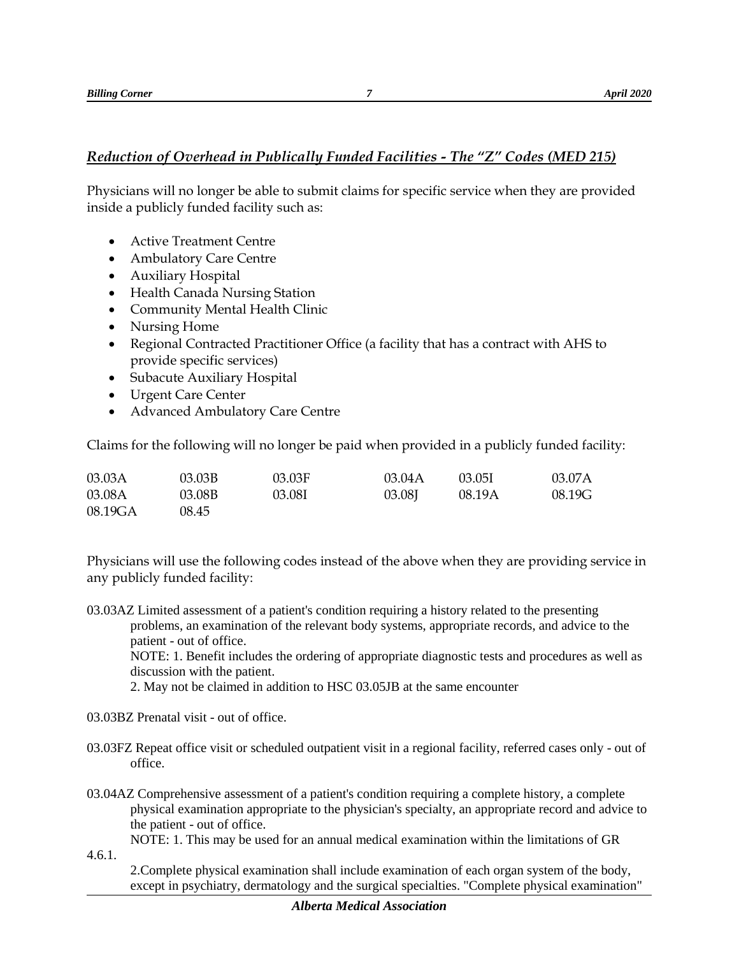#### <span id="page-6-0"></span>*Reduction of Overhead in Publically Funded Facilities - The "Z" Codes (MED 215)*

Physicians will no longer be able to submit claims for specific service when they are provided inside a publicly funded facility such as:

- Active Treatment Centre
- Ambulatory Care Centre
- Auxiliary Hospital
- Health Canada Nursing Station
- Community Mental Health Clinic
- Nursing Home
- Regional Contracted Practitioner Office (a facility that has a contract with AHS to provide specific services)
- Subacute Auxiliary Hospital
- Urgent Care Center
- Advanced Ambulatory Care Centre

Claims for the following will no longer be paid when provided in a publicly funded facility:

| 03.03A  | 03.03B | 03.03F | 03.04A | 03.051 | 03.07A |
|---------|--------|--------|--------|--------|--------|
| 03.08A  | 03.08B | 03.08I | 03.08  | 08.19A | 08.19G |
| 08.19GA | 08.45  |        |        |        |        |

Physicians will use the following codes instead of the above when they are providing service in any publicly funded facility:

03.03AZ Limited assessment of a patient's condition requiring a history related to the presenting problems, an examination of the relevant body systems, appropriate records, and advice to the patient - out of office.

NOTE: 1. Benefit includes the ordering of appropriate diagnostic tests and procedures as well as discussion with the patient.

2. May not be claimed in addition to HSC 03.05JB at the same encounter

- 03.03BZ Prenatal visit out of office.
- 03.03FZ Repeat office visit or scheduled outpatient visit in a regional facility, referred cases only out of office.
- 03.04AZ Comprehensive assessment of a patient's condition requiring a complete history, a complete physical examination appropriate to the physician's specialty, an appropriate record and advice to the patient - out of office.

NOTE: 1. This may be used for an annual medical examination within the limitations of GR 4.6.1.

2.Complete physical examination shall include examination of each organ system of the body, except in psychiatry, dermatology and the surgical specialties. "Complete physical examination"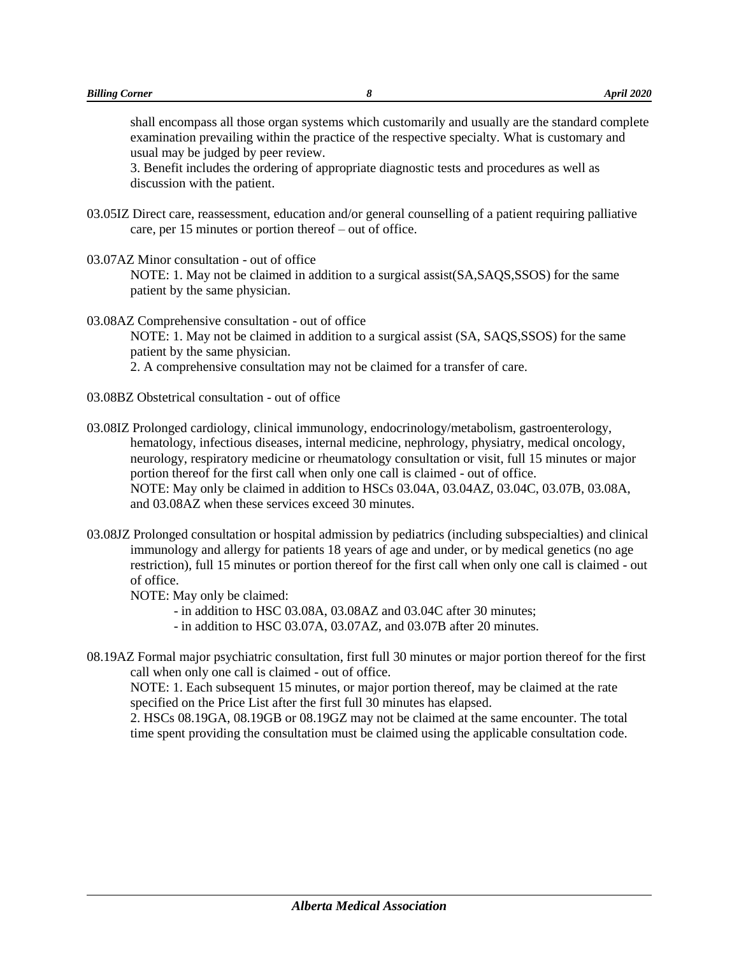shall encompass all those organ systems which customarily and usually are the standard complete examination prevailing within the practice of the respective specialty. What is customary and usual may be judged by peer review.

3. Benefit includes the ordering of appropriate diagnostic tests and procedures as well as discussion with the patient.

- 03.05IZ Direct care, reassessment, education and/or general counselling of a patient requiring palliative care, per 15 minutes or portion thereof – out of office.
- 03.07AZ Minor consultation out of office

NOTE: 1. May not be claimed in addition to a surgical assist(SA,SAQS,SSOS) for the same patient by the same physician.

03.08AZ Comprehensive consultation - out of office

NOTE: 1. May not be claimed in addition to a surgical assist (SA, SAQS,SSOS) for the same patient by the same physician.

2. A comprehensive consultation may not be claimed for a transfer of care.

- 03.08BZ Obstetrical consultation out of office
- 03.08IZ Prolonged cardiology, clinical immunology, endocrinology/metabolism, gastroenterology, hematology, infectious diseases, internal medicine, nephrology, physiatry, medical oncology, neurology, respiratory medicine or rheumatology consultation or visit, full 15 minutes or major portion thereof for the first call when only one call is claimed - out of office. NOTE: May only be claimed in addition to HSCs 03.04A, 03.04AZ, 03.04C, 03.07B, 03.08A, and 03.08AZ when these services exceed 30 minutes.
- 03.08JZ Prolonged consultation or hospital admission by pediatrics (including subspecialties) and clinical immunology and allergy for patients 18 years of age and under, or by medical genetics (no age restriction), full 15 minutes or portion thereof for the first call when only one call is claimed - out of office.

NOTE: May only be claimed:

- in addition to HSC 03.08A, 03.08AZ and 03.04C after 30 minutes;
- in addition to HSC 03.07A, 03.07AZ, and 03.07B after 20 minutes.
- 08.19AZ Formal major psychiatric consultation, first full 30 minutes or major portion thereof for the first call when only one call is claimed - out of office.

NOTE: 1. Each subsequent 15 minutes, or major portion thereof, may be claimed at the rate specified on the Price List after the first full 30 minutes has elapsed.

2. HSCs 08.19GA, 08.19GB or 08.19GZ may not be claimed at the same encounter. The total time spent providing the consultation must be claimed using the applicable consultation code.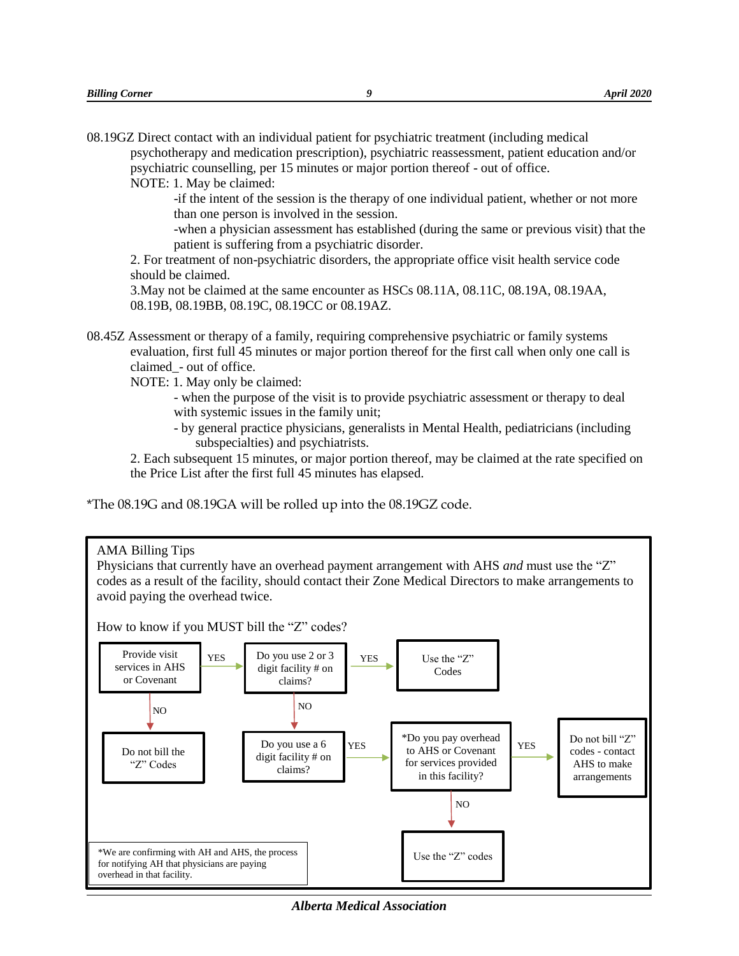| 08.19GZ Direct contact with an individual patient for psychiatric treatment (including medical |
|------------------------------------------------------------------------------------------------|
| psychotherapy and medication prescription), psychiatric reassessment, patient education and/or |
| psychiatric counselling, per 15 minutes or major portion thereof - out of office.              |
| NOTE: 1. May be claimed:                                                                       |

-if the intent of the session is the therapy of one individual patient, whether or not more than one person is involved in the session.

-when a physician assessment has established (during the same or previous visit) that the patient is suffering from a psychiatric disorder.

2. For treatment of non-psychiatric disorders, the appropriate office visit health service code should be claimed.

3.May not be claimed at the same encounter as HSCs 08.11A, 08.11C, 08.19A, 08.19AA, 08.19B, 08.19BB, 08.19C, 08.19CC or 08.19AZ.

08.45Z Assessment or therapy of a family, requiring comprehensive psychiatric or family systems evaluation, first full 45 minutes or major portion thereof for the first call when only one call is claimed\_- out of office.

NOTE: 1. May only be claimed:

- when the purpose of the visit is to provide psychiatric assessment or therapy to deal with systemic issues in the family unit;
- by general practice physicians, generalists in Mental Health, pediatricians (including subspecialties) and psychiatrists.

2. Each subsequent 15 minutes, or major portion thereof, may be claimed at the rate specified on the Price List after the first full 45 minutes has elapsed.

\*The 08.19G and 08.19GA will be rolled up into the 08.19GZ code.



*Alberta Medical Association*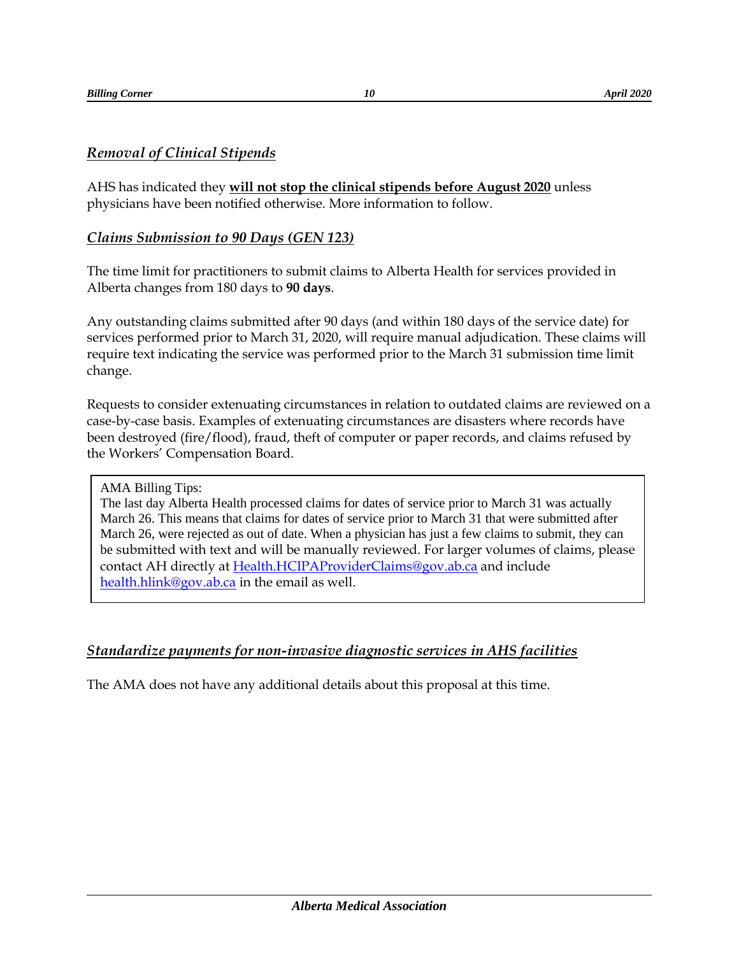## <span id="page-9-0"></span>*Removal of Clinical Stipends*

AHS has indicated they **will not stop the clinical stipends before August 2020** unless physicians have been notified otherwise. More information to follow.

## <span id="page-9-1"></span>*Claims Submission to 90 Days (GEN 123)*

The time limit for practitioners to submit claims to Alberta Health for services provided in Alberta changes from 180 days to **90 days**.

Any outstanding claims submitted after 90 days (and within 180 days of the service date) for services performed prior to March 31, 2020, will require manual adjudication. These claims will require text indicating the service was performed prior to the March 31 submission time limit change.

Requests to consider extenuating circumstances in relation to outdated claims are reviewed on a case-by-case basis. Examples of extenuating circumstances are disasters where records have been destroyed (fire/flood), fraud, theft of computer or paper records, and claims refused by the Workers' Compensation Board.

AMA Billing Tips:

The last day Alberta Health processed claims for dates of service prior to March 31 was actually March 26. This means that claims for dates of service prior to March 31 that were submitted after March 26, were rejected as out of date. When a physician has just a few claims to submit, they can be submitted with text and will be manually reviewed. For larger volumes of claims, please contact AH directly at [Health.HCIPAProviderClaims@gov.ab.ca](mailto:Health.HCIPAProviderClaims@gov.ab.ca) and include [health.hlink@gov.ab.ca](mailto:health.hlink@gov.ab.ca) in the email as well.

## <span id="page-9-2"></span>*Standardize payments for non-invasive diagnostic services in AHS facilities*

The AMA does not have any additional details about this proposal at this time.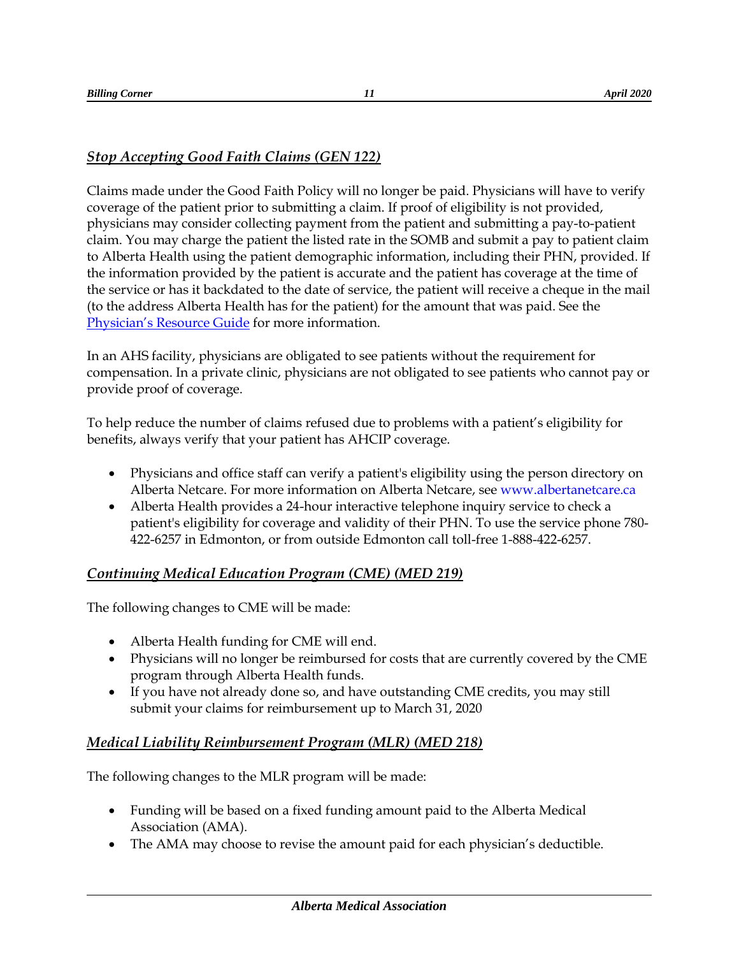## <span id="page-10-0"></span>*Stop Accepting Good Faith Claims (GEN 122)*

Claims made under the Good Faith Policy will no longer be paid. Physicians will have to verify coverage of the patient prior to submitting a claim. If proof of eligibility is not provided, physicians may consider collecting payment from the patient and submitting a pay-to-patient claim. You may charge the patient the listed rate in the SOMB and submit a pay to patient claim to Alberta Health using the patient demographic information, including their PHN, provided. If the information provided by the patient is accurate and the patient has coverage at the time of the service or has it backdated to the date of service, the patient will receive a cheque in the mail (to the address Alberta Health has for the patient) for the amount that was paid. See the [Physician's Resource Guide](https://open.alberta.ca/publications/physician-s-resource-guide) for more information.

In an AHS facility, physicians are obligated to see patients without the requirement for compensation. In a private clinic, physicians are not obligated to see patients who cannot pay or provide proof of coverage.

To help reduce the number of claims refused due to problems with a patient's eligibility for benefits, always verify that your patient has AHCIP coverage.

- Physicians and office staff can verify a patient's eligibility using the person directory on Alberta Netcare. For more information on Alberta Netcare, see www.albertanetcare.ca
- Alberta Health provides a 24-hour interactive telephone inquiry service to check a patient's eligibility for coverage and validity of their PHN. To use the service phone 780- 422-6257 in Edmonton, or from outside Edmonton call toll-free 1-888-422-6257.

## <span id="page-10-1"></span>*Continuing Medical Education Program (CME) (MED 219)*

The following changes to CME will be made:

- Alberta Health funding for CME will end.
- Physicians will no longer be reimbursed for costs that are currently covered by the CME program through Alberta Health funds.
- If you have not already done so, and have outstanding CME credits, you may still submit your claims for reimbursement up to March 31, 2020

## <span id="page-10-2"></span>*Medical Liability Reimbursement Program (MLR) (MED 218)*

The following changes to the MLR program will be made:

- Funding will be based on a fixed funding amount paid to the Alberta Medical Association (AMA).
- The AMA may choose to revise the amount paid for each physician's deductible.